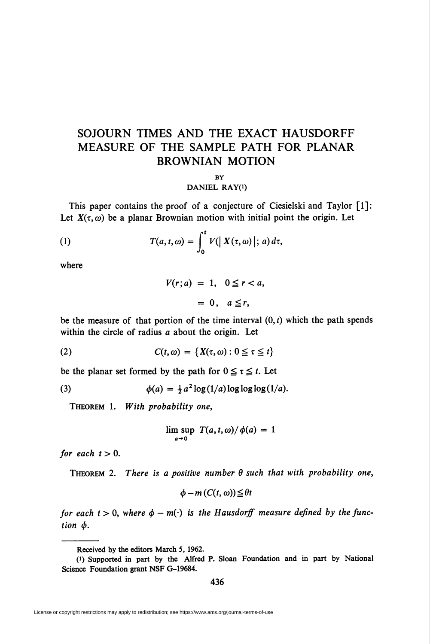# SOJOURN TIMES AND THE EXACT HAUSDORFF MEASURE OF THE SAMPLE PATH FOR PLANAR BROWNIAN MOTION

### **BY**

## DANIEL RAY(i)

This paper contains the proof of a conjecture of Ciesielski and Taylor [1]: Let  $X(\tau, \omega)$  be a planar Brownian motion with initial point the origin. Let

(1) 
$$
T(a,t,\omega)=\int_0^t V(|X(\tau,\omega)|; a) d\tau,
$$

where

$$
V(r; a) = 1, \quad 0 \le r < a,
$$

$$
= 0, \quad a \le r,
$$

be the measure of that portion of the time interval  $(0, t)$  which the path spends within the circle of radius a about the origin. Let

(2) 
$$
C(t, \omega) = \{X(\tau, \omega): 0 \leq \tau \leq t\}
$$

be the planar set formed by the path for  $0 \le \tau \le t$ . Let

(3) 
$$
\phi(a) = \frac{1}{2} a^2 \log(1/a) \log \log \log(1/a).
$$

Theorem 1. With probability one,

$$
\limsup_{a\to 0} T(a,t,\omega)/\phi(a) = 1
$$

for each  $t > 0$ .

THEOREM 2. There is a positive number  $\theta$  such that with probability one,

$$
\phi - m(C(t, \omega)) \leq \theta t
$$

for each  $t > 0$ , where  $\phi - m(\cdot)$  is the Hausdorff measure defined by the function  $\phi$ .

436

Received by the editors March 5, 1962.

<sup>(0</sup> Supported in part by the Alfred P. Sloan Foundation and in part by National Science Foundation grant NSF G-19684.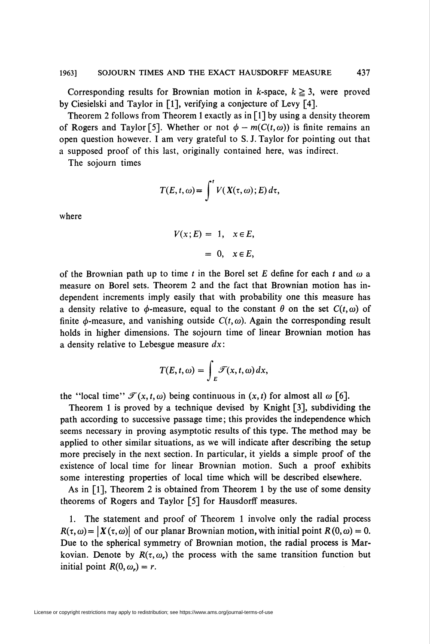Corresponding results for Brownian motion in k-space,  $k \geq 3$ , were proved by Ciesielski and Taylor in [1], verifying a conjecture of Levy [4].

Theorem 2 follows from Theorem 1 exactly as in  $\lceil 1 \rceil$  by using a density theorem of Rogers and Taylor [5]. Whether or not  $\phi - m(C(t, \omega))$  is finite remains an open question however. I am very grateful to S. J. Taylor for pointing out that a supposed proof of this last, originally contained here, was indirect.

The sojourn times

$$
T(E, t, \omega) = \int^t V(X(\tau, \omega); E) d\tau,
$$

where

$$
V(x; E) = 1, \quad x \in E,
$$
  

$$
= 0, \quad x \in E,
$$

of the Brownian path up to time t in the Borel set E define for each t and  $\omega$  a measure on Borel sets. Theorem 2 and the fact that Brownian motion has independent increments imply easily that with probability one this measure has a density relative to  $\phi$ -measure, equal to the constant  $\theta$  on the set  $C(t, \omega)$  of finite  $\phi$ -measure, and vanishing outside  $C(t, \omega)$ . Again the corresponding result holds in higher dimensions. The sojourn time of linear Brownian motion has a density relative to Lebesgue measure  $dx$ :

$$
T(E,t,\omega)=\int_{E}\mathscr{T}(x,t,\omega)\,dx,
$$

the "local time"  $\mathcal{T}(x, t, \omega)$  being continuous in  $(x, t)$  for almost all  $\omega$  [6].

Theorem 1 is proved by a technique devised by Knight [3], subdividing the path according to successive passage time; this provides the independence which seems necessary in proving asymptotic results of this type. The method may be applied to other similar situations, as we will indicate after describing the setup more precisely in the next section. In particular, it yields a simple proof of the existence of local time for linear Brownian motion. Such a proof exhibits some interesting properties of local time which will be described elsewhere.

As in  $[1]$ , Theorem 2 is obtained from Theorem 1 by the use of some density theorems of Rogers and Taylor [5] for Hausdorff measures.

1. The statement and proof of Theorem 1 involve only the radial process  $R(\tau, \omega) = |X(\tau, \omega)|$  of our planar Brownian motion, with initial point  $R(0, \omega) = 0$ . Due to the spherical symmetry of Brownian motion, the radial process is Markovian. Denote by  $R(\tau, \omega)$ , the process with the same transition function but initial point  $R(0, \omega_r) = r$ .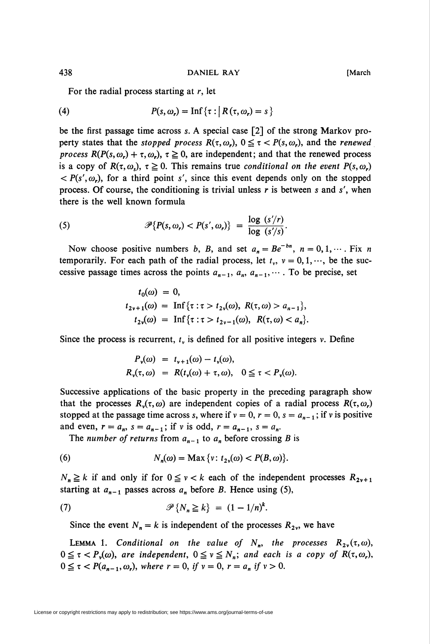For the radial process starting at  $r$ , let

(4) 
$$
P(s, \omega_r) = \text{Inf}\{\tau : \big| R(\tau, \omega_r) = s\}
$$

be the first passage time across s. A special case [2] of the strong Markov property states that the *stopped process*  $R(\tau, \omega_r)$ ,  $0 \leq \tau < P(s, \omega_r)$ , and the *renewed* process  $R(P(s, \omega_r) + \tau, \omega_r)$ ,  $\tau \ge 0$ , are independent; and that the renewed process is a copy of  $R(\tau, \omega_s)$ ,  $\tau \geq 0$ . This remains true conditional on the event  $P(s, \omega_s)$  $\langle P(s', \omega) \rangle$ , for a third point s', since this event depends only on the stopped process. Of course, the conditioning is trivial unless  $r$  is between s and s', when there is the well known formula

(5) 
$$
\mathscr{P}\{P(s,\omega_r) < P(s',\omega_r)\} = \frac{\log\ (s'/r)}{\log\ (s'/s)}.
$$

Now choose positive numbers b, B, and set  $a_n = Be^{-bn}$ ,  $n = 0, 1, \dots$ . Fix n temporarily. For each path of the radial process, let  $t_v$ ,  $v = 0, 1, \dots$ , be the successive passage times across the points  $a_{n-1}$ ,  $a_n$ ,  $a_{n-1}$ ,.... To be precise, set

$$
t_0(\omega) = 0,
$$
  
\n
$$
t_{2v+1}(\omega) = \text{Inf}\{\tau : \tau > t_{2v}(\omega), R(\tau, \omega) > a_{n-1}\},
$$
  
\n
$$
t_{2v}(\omega) = \text{Inf}\{\tau : \tau > t_{2v-1}(\omega), R(\tau, \omega) < a_n\}.
$$

Since the process is recurrent,  $t<sub>v</sub>$  is defined for all positive integers v. Define

$$
P_{\nu}(\omega) = t_{\nu+1}(\omega) - t_{\nu}(\omega),
$$
  
\n
$$
R_{\nu}(\tau, \omega) = R(t_{\nu}(\omega) + \tau, \omega), \quad 0 \leq \tau < P_{\nu}(\omega).
$$

Successive applications of the basic property in the preceding paragraph show that the processes  $R_v(\tau, \omega)$  are independent copies of a radial process  $R(\tau, \omega_r)$ stopped at the passage time across s, where if  $v = 0$ ,  $r = 0$ ,  $s = a_{n-1}$ ; if v is positive and even,  $r = a_n$ ,  $s = a_{n-1}$ ; if v is odd,  $r = a_{n-1}$ ,  $s = a_n$ .

The number of returns from  $a_{n-1}$  to  $a_n$  before crossing B is

(6) 
$$
N_n(\omega) = \text{Max}\{v: t_{2v}(\omega) < P(B, \omega)\}.
$$

 $N_n \ge k$  if and only if for  $0 \le v < k$  each of the independent processes  $R_{2v+1}$ starting at  $a_{n-1}$  passes across  $a_n$  before B. Hence using (5),

$$
\mathscr{P}\{N_n \ge k\} = (1 - 1/n)^k.
$$

Since the event  $N_n = k$  is independent of the processes  $R_{2v}$ , we have

LEMMA 1. Conditional on the value of  $N_n$ , the processes  $R_{2\nu}(\tau,\omega)$ ,  $0 \leq \tau < P_{\nu}(\omega)$ , are independent,  $0 \leq \nu \leq N_{n}$ ; and each is a copy of  $R(\tau,\omega_{r})$ ,  $0 \leq \tau < P(a_{n-1}, \omega_r)$ , where  $r = 0$ , if  $v = 0$ ,  $r = a_n$  if  $v > 0$ .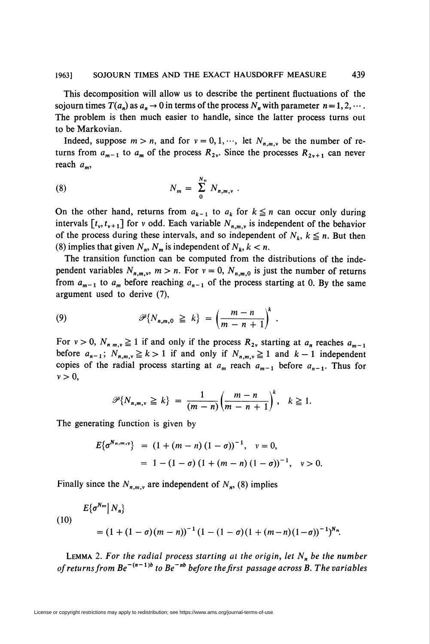This decomposition will allow us to describe the pertinent fluctuations of the sojourn times  $T(a_n)$  as  $a_n \to 0$  in terms of the process  $N_n$  with parameter  $n = 1, 2, \cdots$ . The problem is then much easier to handle, since the latter process turns out to be Markovian.

Indeed, suppose  $m > n$ , and for  $v = 0, 1, \dots$ , let  $N_{n,m,\nu}$  be the number of returns from  $a_{m-1}$  to  $a_m$  of the process  $R_{2v}$ . Since the processes  $R_{2v+1}$  can never reach  $a_m$ ,

(8) 
$$
N_m = \sum_{0}^{N_n} N_{n,m,\nu} \; .
$$

On the other hand, returns from  $a_{k-1}$  to  $a_k$  for  $k \leq n$  can occur only during intervals  $[t_v, t_{v+1}]$  for v odd. Each variable  $N_{n,m,v}$  is independent of the behavior of the process during these intervals, and so independent of  $N_k$ ,  $k \leq n$ . But then (8) implies that given  $N_n$ ,  $N_m$  is independent of  $N_k$ ,  $k < n$ .

The transition function can be computed from the distributions of the independent variables  $N_{n,m,\nu}$ ,  $m > n$ . For  $\nu = 0$ ,  $N_{n,m,0}$  is just the number of returns from  $a_{m-1}$  to  $a_m$  before reaching  $a_{n-1}$  of the process starting at 0. By the same argument used to derive (7),

(9) 
$$
\mathscr{P}\lbrace N_{n,m,0} \geq k \rbrace = \left(\frac{m-n}{m-n+1}\right)^k
$$

For  $v > 0$ ,  $N_{n,m,v} \ge 1$  if and only if the process  $R_{2v}$  starting at  $a_n$  reaches  $a_{m-1}$ before  $a_{n-1}$ ;  $N_{n,m,\nu} \ge k>1$  if and only if  $N_{n,m,\nu} \ge 1$  and  $k-1$  independent copies of the radial process starting at  $a_m$  reach  $a_{m-1}$  before  $a_{n-1}$ . Thus for  $v>0$ ,

$$
\mathscr{P}{N_{n,m,\nu}\geq k} = \frac{1}{(m-n)}\left(\frac{m-n}{m-n+1}\right)^k, \quad k\geq 1.
$$

The generating function is given by

$$
E\{\sigma^{N_n, m, v}\} = (1 + (m - n) (1 - \sigma))^{-1}, v = 0,
$$
  
= 1 - (1 - \sigma) (1 + (m - n) (1 - \sigma))^{-1}, v > 0.

Finally since the  $N_{n,m,v}$  are independent of  $N_n$ , (8) implies

(10)  

$$
E\{\sigma^{Nm}|N_n\}
$$

$$
= (1 + (1 - \sigma)(m - n))^{-1} (1 - (1 - \sigma)(1 + (m - n)(1 - \sigma))^{-1})^{N_n}.
$$

LEMMA 2. For the radial process starting at the origin, let  $N_n$  be the number of returns from  $Be^{-(n-1)b}$  to  $Be^{-nb}$  before the first passage across B. The variables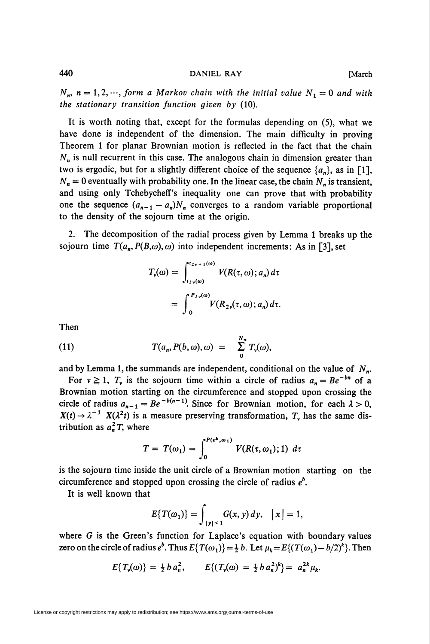$N_n$ ,  $n = 1, 2, \dots$ , form a Markov chain with the initial value  $N_1=0$  and with the stationary transition function given by  $(10)$ .

It is worth noting that, except for the formulas depending on (5), what we have done is independent of the dimension. The main difficulty in proving Theorem 1 for planar Brownian motion is reflected in the fact that the chain  $N_n$  is null recurrent in this case. The analogous chain in dimension greater than two is ergodic, but for a slightly different choice of the sequence  $\{a_n\}$ , as in [1],  $N_n = 0$  eventually with probability one. In the linear case, the chain  $N_n$  is transient, and using only Tchebycheff's inequality one can prove that with probability one the sequence  $(a_{n-1} - a_n)N_n$  converges to a random variable proportional to the density of the sojourn time at the origin.

2. The decomposition of the radial process given by Lemma 1 breaks up the sojourn time  $T(a_n, P(B,\omega), \omega)$  into independent increments: As in [3], set

$$
T_{\nu}(\omega) = \int_{t_2 \nu(\omega)}^{t_2 \nu + 1(\omega)} V(R(\tau, \omega); a_n) d\tau
$$
  
= 
$$
\int_0^{P_{2\nu}(\omega)} V(R_{2\nu}(\tau, \omega); a_n) d\tau.
$$

Then

(11) 
$$
T(a_n, P(b, \omega), \omega) = \sum_{0}^{N_n} T_v(\omega),
$$

and by Lemma 1, the summands are independent, conditional on the value of  $N_{n}$ .

For  $v \ge 1$ ,  $T_v$  is the sojourn time within a circle of radius  $a_n = Be^{-bn}$  of a Brownian motion starting on the circumference and stopped upon crossing the circle of radius  $a_{n-1} = Be^{-b(n-1)}$ . Since for Brownian motion, for each  $\lambda > 0$ ,  $X(t) \rightarrow \lambda^{-1} X(\lambda^2 t)$  is a measure preserving transformation,  $T_v$  has the same distribution as  $a_n^2T$ , where

$$
T = T(\omega_1) = \int_0^{P(e^b, \omega_1)} V(R(\tau, \omega_1); 1) d\tau
$$

is the sojourn time inside the unit circle of a Brownian motion starting on the circumference and stopped upon crossing the circle of radius  $e^b$ .

It is well known that

$$
E\{T(\omega_1)\}=\int_{|y|<1}G(x,y)\,dy,\quad |x|=1,
$$

where G is the Green's function for Laplace's equation with boundary values zero on the circle of radius  $e^b$ . Thus  $E\{T(\omega_1)\} = \frac{1}{2}b$ . Let  $\mu_k = E\{(T(\omega_1) - b/2)^k\}$ . Then

$$
E\{T_{\nu}(\omega)\}=\tfrac{1}{2}b\,a_n^2,\qquad E\{(T_{\nu}(\omega)=\tfrac{1}{2}b\,a_n^2)^k\}=\,a_n^{2k}\mu_k.
$$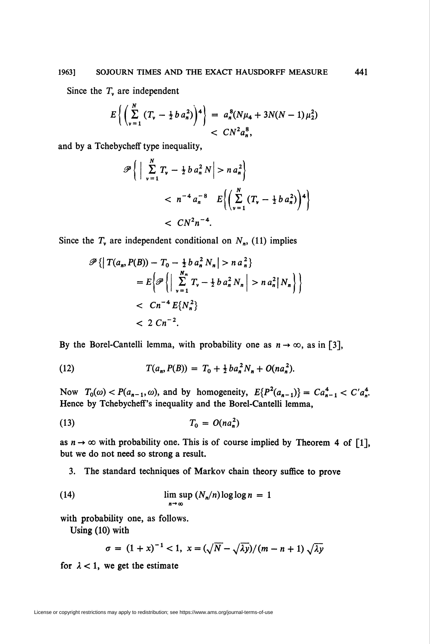## 1963] SOJOURN TIMES AND THE EXACT HAUSDORFF MEASURE 441

Since the  $T<sub>v</sub>$  are independent

$$
E\left\{ \left( \sum_{\nu=1}^{N} \left( T_{\nu} - \frac{1}{2} b a_n^2 \right) \right)^4 \right\} = a_n^8 (N\mu_4 + 3N(N-1)\mu_2^2) < CN^2 a_n^8,
$$

and by a Tchebycheff type inequality,

$$
\mathscr{P}\left\{\left|\sum_{\nu=1}^{N}T_{\nu}-\frac{1}{2}b a_{n}^{2} N\right|>n a_{n}^{2}\right\}\n< n^{-4} a_{n}^{-8} E\left\{\left(\sum_{\nu=1}^{N} \left(T_{\nu}-\frac{1}{2}b a_{n}^{2}\right)\right)^{4}\right\}\n< CN^{2} n^{-4}.
$$

Since the  $T<sub>v</sub>$  are independent conditional on  $N<sub>n</sub>$ , (11) implies

$$
\mathscr{P}\left\{\left|T(a_n, P(B)) - T_0 - \frac{1}{2}b a_n^2 N_n\right| > n a_n^2\right\}
$$
  
=  $E\left\{\mathscr{P}\left\{\left|\sum_{\nu=1}^{N_n} T_{\nu} - \frac{1}{2}b a_n^2 N_n\right| > n a_n^2 |N_n\right\}\right\}$   
<  $Cn^{-4} E\{N_n^2\}$   
<  $2 Cn^{-2}$ .

By the Borel-Cantelli lemma, with probability one as  $n \to \infty$ , as in [3],

(12) 
$$
T(a_n, P(B)) = T_0 + \frac{1}{2}ba_n^2N_n + O(na_n^2).
$$

Now  $T_0(\omega) < P(a_{n-1}, \omega)$ , and by homogeneity,  $E\{P^2(a_{n-1})\} = Ca_{n-1}^4 < C'a_n^4$ . Hence by Tchebycheff's inequality and the Borel-Cantelli lemma,

$$
(13) \hspace{3.1em} T_0 = O(n a_n^2)
$$

as  $n \to \infty$  with probability one. This is of course implied by Theorem 4 of [1], but we do not need so strong a result.

3. The standard techniques of Markov chain theory suffice to prove

(14) 
$$
\lim_{n \to \infty} \sup (N_n/n) \log \log n = 1
$$

with probability one, as follows.

Using (10) with

$$
\sigma = (1+x)^{-1} < 1, \ x = (\sqrt{N} - \sqrt{\lambda y})/(m-n+1)\sqrt{\lambda y}
$$

for  $\lambda < 1$ , we get the estimate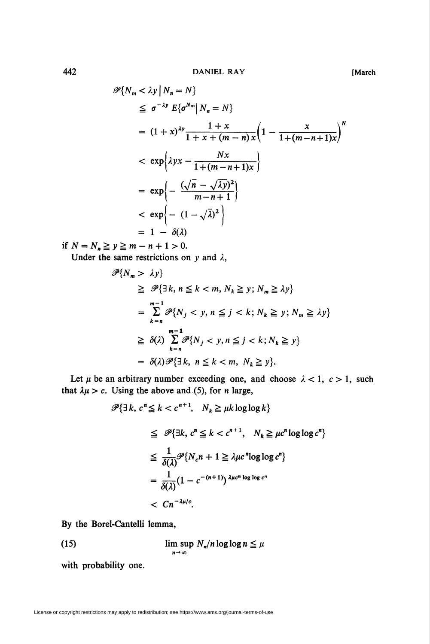$$
\mathcal{P}\lbrace N_m < \lambda y \mid N_n = N \rbrace
$$
\n
$$
\leq \sigma^{-\lambda y} E\lbrace \sigma^{N_m} \mid N_n = N \rbrace
$$
\n
$$
= (1 + x)^{\lambda y} \frac{1 + x}{1 + x + (m - n)x} \left(1 - \frac{x}{1 + (m - n + 1)x}\right)^N
$$
\n
$$
\langle \exp \left\lbrace \lambda yx - \frac{Nx}{1 + (m - n + 1)x} \right\rbrace
$$
\n
$$
= \exp \left\lbrace - \frac{(\sqrt{n} - \sqrt{\lambda y})^2}{m - n + 1} \right\rbrace
$$
\n
$$
\langle \exp \left\lbrace - (1 - \sqrt{\lambda})^2 \right\rbrace
$$
\n
$$
= 1 - \delta(\lambda)
$$

if  $N = N_n \ge y \ge m - n + 1 > 0$ . Under the same restrictions on y and  $\lambda$ ,

$$
\mathscr{P}{N_m > \lambda y}
$$
  
\n
$$
\geq \mathscr{P}{\exists k, n \leq k < m, N_k \geq y; N_m \geq \lambda y}
$$
  
\n
$$
= \sum_{k=n}^{m-1} \mathscr{P}{N_j < y, n \leq j < k; N_k \geq y; N_m \geq \lambda y}
$$
  
\n
$$
\geq \delta(\lambda) \sum_{k=n}^{m-1} \mathscr{P}{N_j < y, n \leq j < k; N_k \geq y}
$$
  
\n
$$
= \delta(\lambda) \mathscr{P}{\exists k, n \leq k < m, N_k \geq y}.
$$

Let  $\mu$  be an arbitrary number exceeding one, and choose  $\lambda < 1$ ,  $c > 1$ , such that  $\lambda \mu > c$ . Using the above and (5), for *n* large,

$$
\mathscr{P}\{\exists k, c^n \le k < c^{n+1}, N_k \ge \mu k \log \log k\}
$$
\n
$$
\le \mathscr{P}\{\exists k, c^n \le k < c^{n+1}, N_k \ge \mu c^n \log \log c^n\}
$$
\n
$$
\le \frac{1}{\delta(\lambda)} \mathscr{P}\{N_c n + 1 \ge \lambda \mu c^n \log \log c^n\}
$$
\n
$$
= \frac{1}{\delta(\lambda)} (1 - c^{-(n+1)})^{\lambda \mu c^n \log \log c^n}
$$
\n
$$
< C n^{-\lambda \mu/c}.
$$

By the Borel-Cantelli lemma,

(15) 
$$
\limsup_{n \to \infty} N_n/n \log \log n \leq \mu
$$

with probability one.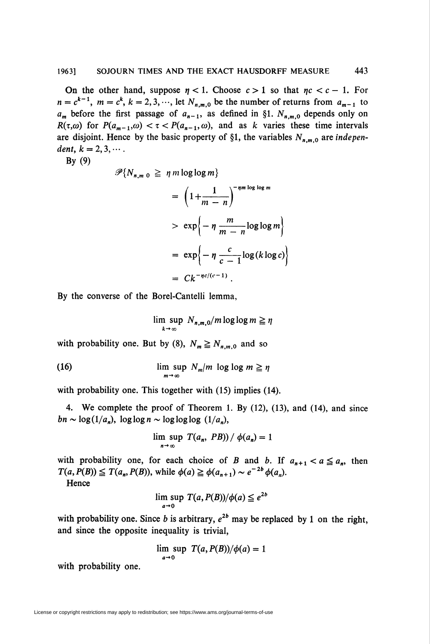On the other hand, suppose  $n < 1$ . Choose  $c > 1$  so that  $nc < c - 1$ . For  $n = c^{k-1}$ ,  $m = c^k$ ,  $k = 2, 3, \dots$ , let  $N_{n,m,0}$  be the number of returns from  $a_{m-1}$  to  $a_m$  before the first passage of  $a_{n-1}$ , as defined in §1.  $N_{n,m,0}$  depends only on  $R(\tau,\omega)$  for  $P(a_{m-1},\omega) < \tau < P(a_{n-1},\omega)$ , and as k varies these time intervals are disjoint. Hence by the basic property of §1, the variables  $N_{n,m,0}$  are independent,  $k = 2, 3, \cdots$ .

By (9)

$$
\mathscr{P}{N_{n,m,0}} \geq \eta m \log \log m
$$
  
=  $\left(1 + \frac{1}{m-n}\right)^{-\eta m \log \log m}$   
>  $\exp\left\{-\eta \frac{m}{m-n} \log \log m\right\}$   
=  $\exp\left\{-\eta \frac{c}{c-1} \log(k \log c)\right\}$   
=  $Ck^{-\eta c/(c-1)}$ .

By the converse of the Borel-Cantelli lemma,

$$
\limsup_{k\to\infty} N_{n,m,0}/m \log\log m \geq \eta
$$

with probability one. But by (8),  $N_m \ge N_{n,m,0}$  and so

(16) 
$$
\limsup_{m \to \infty} N_m/m \log \log m \ge \eta
$$

with probability one. This together with (15) implies (14).

4. We complete the proof of Theorem 1. By (12), (13), and (14), and since  $bn \sim \log(1/a_n)$ ,  $\log \log n \sim \log \log \log(1/a_n)$ ,

$$
\limsup_{n\to\infty} T(a_n, PB)/\phi(a_n)=1
$$

with probability one, for each choice of B and b. If  $a_{n+1} < a \le a_n$ , then  $T(a, P(B)) \leq T(a_n, P(B))$ , while  $\phi(a) \geq \phi(a_{n+1}) \sim e^{-2b} \phi(a_n)$ .

**Hence** 

lim sup  $T(a, P(B))/\phi(a) \leq e^{2b}$  $a\rightarrow 0$ 

with probability one. Since b is arbitrary,  $e^{2b}$  may be replaced by 1 on the right, and since the opposite inequality is trivial,

$$
\lim_{a\to 0} \sup T(a, P(B))/\phi(a) = 1
$$

with probability one.